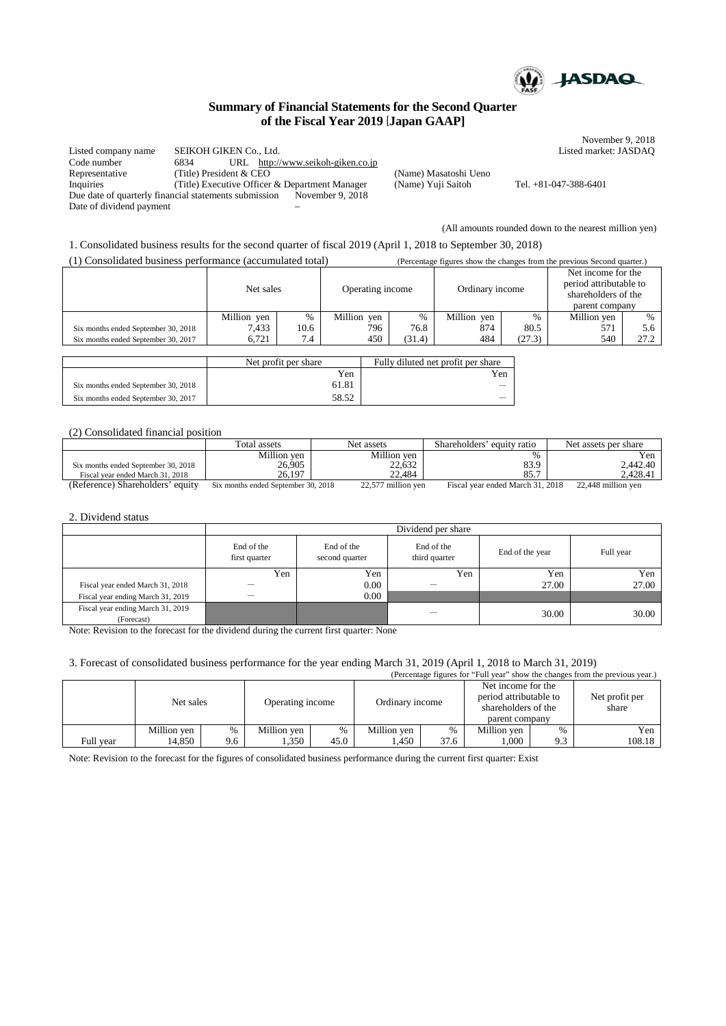

November 9, 2018<br>Listed market: JASDAQ

# **Summary of Financial Statements for the Second Quarter of the Fiscal Year 2019** [**Japan GAAP]**

Listed company name SEIKOH GIKEN Co., Ltd. Code number 6834 URL http://www.seikoh-giken.co.jp Representative (Title) President & CEO (Name) Masatoshi Ueno<br>Inquiries (Title) Executive Officer & Department Manager (Name) Yuji Saitoh Inquiries (Title) Executive Officer & Department Manager (Name) Yuji Saitoh Tel. +81-047-388-6401 Due date of quarterly financial statements submission November 9, 2018 Date of dividend payment

(All amounts rounded down to the nearest million yen)

1. Consolidated business results for the second quarter of fiscal 2019 (April 1, 2018 to September 30, 2018)

(1) Consolidated business performance (accumulated total) (Percentage figures show the changes from the previous Second quarter.)

|                                     | Net sales   |                    | Operating income |        | Ordinary income |        | Net income for the<br>period attributable to<br>shareholders of the<br>parent company |      |
|-------------------------------------|-------------|--------------------|------------------|--------|-----------------|--------|---------------------------------------------------------------------------------------|------|
|                                     | Million yen | $\%$               | Million ven      | %      | Million ven     | $\%$   | Million ven                                                                           | %    |
| Six months ended September 30, 2018 | 7.433       | 10.6               | 796              | 76.8   | 874             | 80.5   | 571                                                                                   | 5.6  |
| Six months ended September 30, 2017 | 6.721       | $\mathbf{r}$<br>4. | 450              | (31.4) | 484             | (27.3) | 540                                                                                   | 27.2 |
|                                     |             |                    |                  |        |                 |        |                                                                                       |      |

|                                     | Net profit per share | Fully diluted net profit per share |  |
|-------------------------------------|----------------------|------------------------------------|--|
|                                     | Yen                  | Yen                                |  |
| Six months ended September 30, 2018 | 61.81                |                                    |  |
| Six months ended September 30, 2017 | 58.52                |                                    |  |

# (2) Consolidated financial position

|                                     | Total assets                        | Net assets         | Shareholders' equity ratio       | Net assets per share |
|-------------------------------------|-------------------------------------|--------------------|----------------------------------|----------------------|
|                                     | Million ven                         | Million yen        | $\frac{0}{6}$                    | r en                 |
| Six months ended September 30, 2018 | 26,905                              | 22,632             | 83.9                             | 2.442.40             |
| Fiscal year ended March 31, 2018    | 26.197                              | 22.484             | 85.7                             | 2.428.41             |
| (Reference) Shareholders' equity    | Six months ended September 30, 2018 | 22,577 million yen | Fiscal year ended March 31, 2018 | 22,448 million yen   |

#### 2. Dividend status

|                                                 | Dividend per share          |                              |                             |                 |           |
|-------------------------------------------------|-----------------------------|------------------------------|-----------------------------|-----------------|-----------|
|                                                 | End of the<br>first quarter | End of the<br>second quarter | End of the<br>third quarter | End of the year | Full year |
|                                                 | Yen                         | Yen                          | Yen                         | Yen             | Yen       |
| Fiscal year ended March 31, 2018                |                             | 0.00                         |                             | 27.00           | 27.00     |
| Fiscal year ending March 31, 2019               |                             | 0.00                         |                             |                 |           |
| Fiscal year ending March 31, 2019<br>(Forecast) |                             |                              | —                           | 30.00           | 30.00     |

Note: Revision to the forecast for the dividend during the current first quarter: None

## 3. Forecast of consolidated business performance for the year ending March 31, 2019 (April 1, 2018 to March 31, 2019)

(Percentage figures for "Full year" show the changes from the previous year.)

|           | Net sales   |      | Operating income |      | Ordinary income |               | Net income for the<br>period attributable to<br>shareholders of the<br>parent company |               | Net profit per<br>share |
|-----------|-------------|------|------------------|------|-----------------|---------------|---------------------------------------------------------------------------------------|---------------|-------------------------|
|           | Million ven | $\%$ | Million ven      | $\%$ | Million ven     | $\frac{0}{6}$ | Million ven                                                                           | $\frac{0}{0}$ | Yen                     |
| Full year | 14,850      | 9.6  | 1,350            | 45.0 | .450            | 37.6          | .000                                                                                  | 9.3           | 108.18                  |

Note: Revision to the forecast for the figures of consolidated business performance during the current first quarter: Exist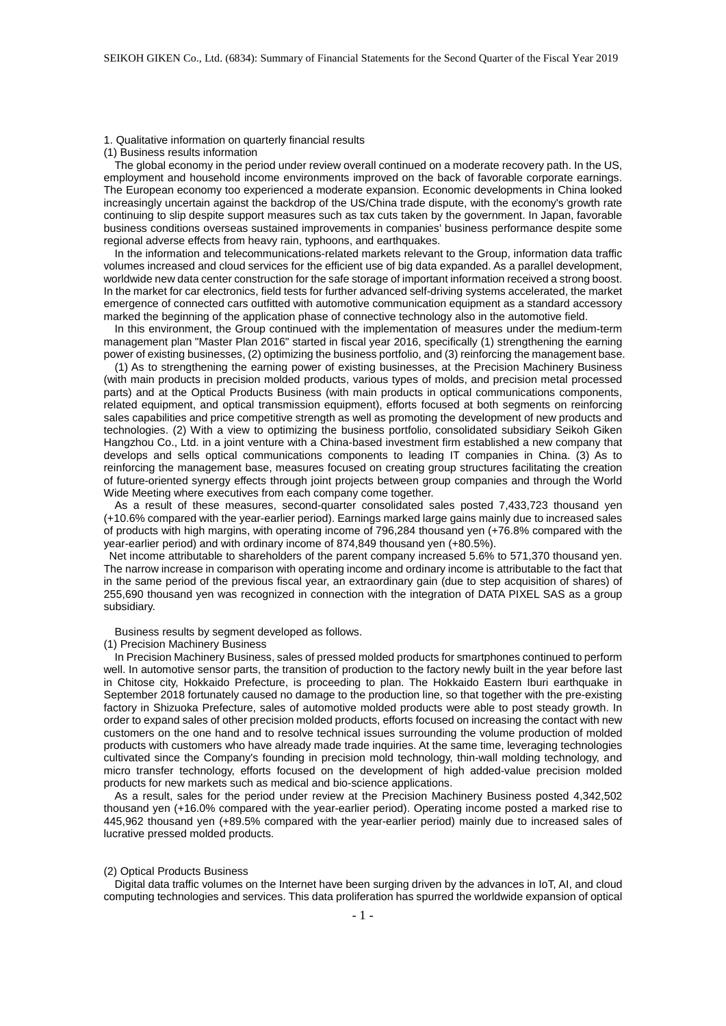1. Qualitative information on quarterly financial results

(1) Business results information

The global economy in the period under review overall continued on a moderate recovery path. In the US, employment and household income environments improved on the back of favorable corporate earnings. The European economy too experienced a moderate expansion. Economic developments in China looked increasingly uncertain against the backdrop of the US/China trade dispute, with the economy's growth rate continuing to slip despite support measures such as tax cuts taken by the government. In Japan, favorable business conditions overseas sustained improvements in companies' business performance despite some regional adverse effects from heavy rain, typhoons, and earthquakes.

In the information and telecommunications-related markets relevant to the Group, information data traffic volumes increased and cloud services for the efficient use of big data expanded. As a parallel development, worldwide new data center construction for the safe storage of important information received a strong boost. In the market for car electronics, field tests for further advanced self-driving systems accelerated, the market emergence of connected cars outfitted with automotive communication equipment as a standard accessory marked the beginning of the application phase of connective technology also in the automotive field.

In this environment, the Group continued with the implementation of measures under the medium-term management plan "Master Plan 2016" started in fiscal year 2016, specifically (1) strengthening the earning power of existing businesses, (2) optimizing the business portfolio, and (3) reinforcing the management base.

(1) As to strengthening the earning power of existing businesses, at the Precision Machinery Business (with main products in precision molded products, various types of molds, and precision metal processed parts) and at the Optical Products Business (with main products in optical communications components, related equipment, and optical transmission equipment), efforts focused at both segments on reinforcing sales capabilities and price competitive strength as well as promoting the development of new products and technologies. (2) With a view to optimizing the business portfolio, consolidated subsidiary Seikoh Giken Hangzhou Co., Ltd. in a joint venture with a China-based investment firm established a new company that develops and sells optical communications components to leading IT companies in China. (3) As to reinforcing the management base, measures focused on creating group structures facilitating the creation of future-oriented synergy effects through joint projects between group companies and through the World Wide Meeting where executives from each company come together.

As a result of these measures, second-quarter consolidated sales posted 7,433,723 thousand yen (+10.6% compared with the year-earlier period). Earnings marked large gains mainly due to increased sales of products with high margins, with operating income of 796,284 thousand yen (+76.8% compared with the year-earlier period) and with ordinary income of 874,849 thousand yen (+80.5%).

Net income attributable to shareholders of the parent company increased 5.6% to 571,370 thousand yen. The narrow increase in comparison with operating income and ordinary income is attributable to the fact that in the same period of the previous fiscal year, an extraordinary gain (due to step acquisition of shares) of 255,690 thousand yen was recognized in connection with the integration of DATA PIXEL SAS as a group subsidiary.

Business results by segment developed as follows.

#### (1) Precision Machinery Business

In Precision Machinery Business, sales of pressed molded products for smartphones continued to perform well. In automotive sensor parts, the transition of production to the factory newly built in the year before last in Chitose city, Hokkaido Prefecture, is proceeding to plan. The Hokkaido Eastern Iburi earthquake in September 2018 fortunately caused no damage to the production line, so that together with the pre-existing factory in Shizuoka Prefecture, sales of automotive molded products were able to post steady growth. In order to expand sales of other precision molded products, efforts focused on increasing the contact with new customers on the one hand and to resolve technical issues surrounding the volume production of molded products with customers who have already made trade inquiries. At the same time, leveraging technologies cultivated since the Company's founding in precision mold technology, thin-wall molding technology, and micro transfer technology, efforts focused on the development of high added-value precision molded products for new markets such as medical and bio-science applications.

As a result, sales for the period under review at the Precision Machinery Business posted 4,342,502 thousand yen (+16.0% compared with the year-earlier period). Operating income posted a marked rise to 445,962 thousand yen (+89.5% compared with the year-earlier period) mainly due to increased sales of lucrative pressed molded products.

#### (2) Optical Products Business

Digital data traffic volumes on the Internet have been surging driven by the advances in IoT, AI, and cloud computing technologies and services. This data proliferation has spurred the worldwide expansion of optical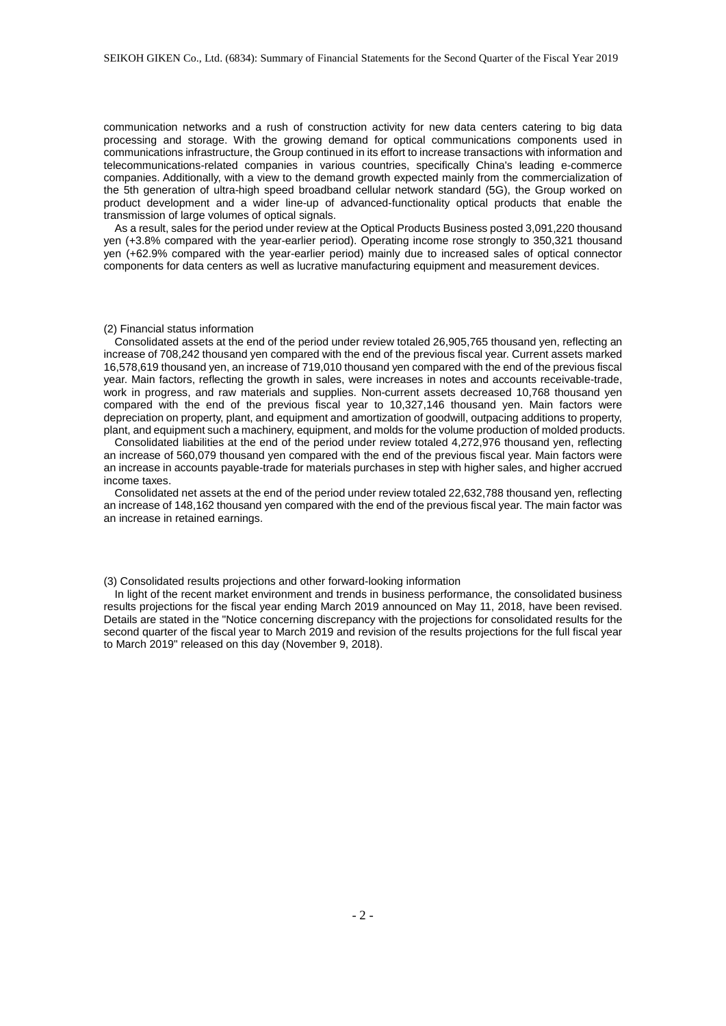communication networks and a rush of construction activity for new data centers catering to big data processing and storage. With the growing demand for optical communications components used in communications infrastructure, the Group continued in its effort to increase transactions with information and telecommunications-related companies in various countries, specifically China's leading e-commerce companies. Additionally, with a view to the demand growth expected mainly from the commercialization of the 5th generation of ultra-high speed broadband cellular network standard (5G), the Group worked on product development and a wider line-up of advanced-functionality optical products that enable the transmission of large volumes of optical signals.

As a result, sales for the period under review at the Optical Products Business posted 3,091,220 thousand yen (+3.8% compared with the year-earlier period). Operating income rose strongly to 350,321 thousand yen (+62.9% compared with the year-earlier period) mainly due to increased sales of optical connector components for data centers as well as lucrative manufacturing equipment and measurement devices.

## (2) Financial status information

Consolidated assets at the end of the period under review totaled 26,905,765 thousand yen, reflecting an increase of 708,242 thousand yen compared with the end of the previous fiscal year. Current assets marked 16,578,619 thousand yen, an increase of 719,010 thousand yen compared with the end of the previous fiscal year. Main factors, reflecting the growth in sales, were increases in notes and accounts receivable-trade, work in progress, and raw materials and supplies. Non-current assets decreased 10,768 thousand yen compared with the end of the previous fiscal year to 10,327,146 thousand yen. Main factors were depreciation on property, plant, and equipment and amortization of goodwill, outpacing additions to property, plant, and equipment such a machinery, equipment, and molds for the volume production of molded products.

Consolidated liabilities at the end of the period under review totaled 4,272,976 thousand yen, reflecting an increase of 560,079 thousand yen compared with the end of the previous fiscal year. Main factors were an increase in accounts payable-trade for materials purchases in step with higher sales, and higher accrued income taxes.

Consolidated net assets at the end of the period under review totaled 22,632,788 thousand yen, reflecting an increase of 148,162 thousand yen compared with the end of the previous fiscal year. The main factor was an increase in retained earnings.

(3) Consolidated results projections and other forward-looking information

In light of the recent market environment and trends in business performance, the consolidated business results projections for the fiscal year ending March 2019 announced on May 11, 2018, have been revised. Details are stated in the "Notice concerning discrepancy with the projections for consolidated results for the second quarter of the fiscal year to March 2019 and revision of the results projections for the full fiscal year to March 2019" released on this day (November 9, 2018).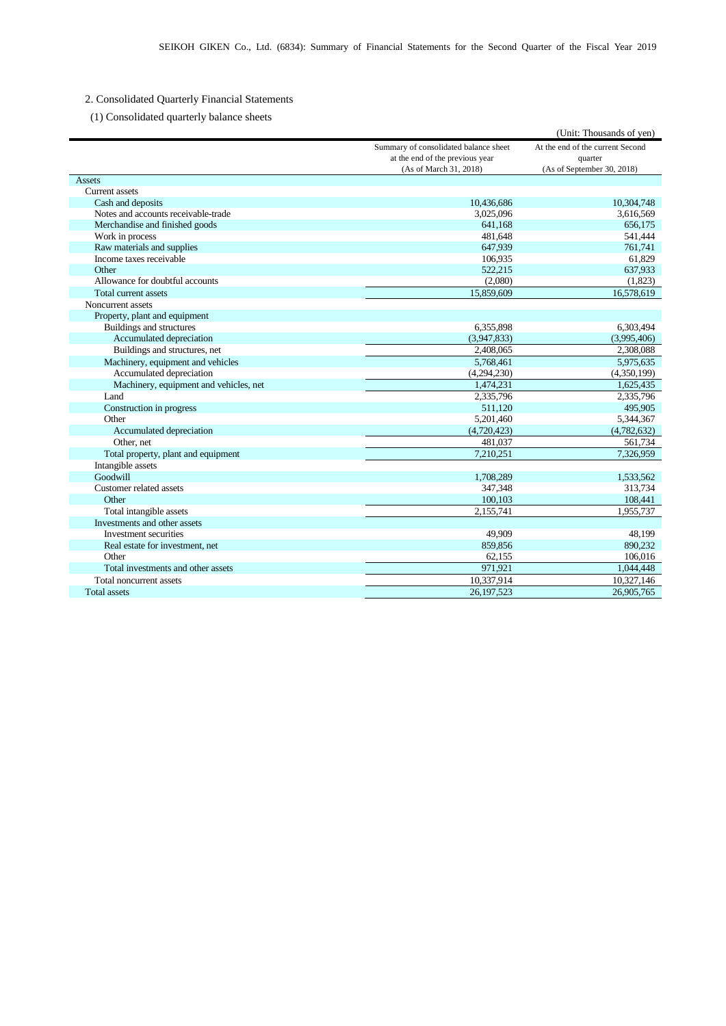# 2. Consolidated Quarterly Financial Statements

(1) Consolidated quarterly balance sheets

|                                        |                                       | (Unit: Thousands of yen)         |
|----------------------------------------|---------------------------------------|----------------------------------|
|                                        | Summary of consolidated balance sheet | At the end of the current Second |
|                                        | at the end of the previous year       | quarter                          |
|                                        | (As of March 31, 2018)                | (As of September 30, 2018)       |
| Assets                                 |                                       |                                  |
| <b>Current assets</b>                  |                                       |                                  |
| Cash and deposits                      | 10,436,686                            | 10,304,748                       |
| Notes and accounts receivable-trade    | 3,025,096                             | 3,616,569                        |
| Merchandise and finished goods         | 641,168                               | 656,175                          |
| Work in process                        | 481.648                               | 541,444                          |
| Raw materials and supplies             | 647,939                               | 761,741                          |
| Income taxes receivable                | 106,935                               | 61,829                           |
| Other                                  | 522.215                               | 637,933                          |
| Allowance for doubtful accounts        | (2,080)                               | (1,823)                          |
| Total current assets                   | 15,859,609                            | 16,578,619                       |
| Noncurrent assets                      |                                       |                                  |
| Property, plant and equipment          |                                       |                                  |
| Buildings and structures               | 6,355,898                             | 6,303,494                        |
| Accumulated depreciation               | (3,947,833)                           | (3,995,406)                      |
| Buildings and structures, net          | 2,408,065                             | 2,308,088                        |
| Machinery, equipment and vehicles      | 5,768,461                             | 5,975,635                        |
| Accumulated depreciation               | (4,294,230)                           | (4,350,199)                      |
| Machinery, equipment and vehicles, net | 1,474,231                             | 1,625,435                        |
| Land                                   | 2,335,796                             | 2,335,796                        |
| Construction in progress               | 511.120                               | 495,905                          |
| Other                                  | 5,201,460                             | 5,344,367                        |
| Accumulated depreciation               | (4,720,423)                           | (4,782,632)                      |
| Other, net                             | 481,037                               | 561,734                          |
| Total property, plant and equipment    | 7,210,251                             | 7,326,959                        |
| Intangible assets                      |                                       |                                  |
| Goodwill                               | 1,708,289                             | 1,533,562                        |
| Customer related assets                | 347,348                               | 313,734                          |
| Other                                  | 100,103                               | 108,441                          |
| Total intangible assets                | 2,155,741                             | 1,955,737                        |
| Investments and other assets           |                                       |                                  |
| Investment securities                  | 49,909                                | 48,199                           |
| Real estate for investment, net        | 859,856                               | 890,232                          |
| Other                                  | 62,155                                | 106,016                          |
| Total investments and other assets     | 971,921                               | 1,044,448                        |
| Total noncurrent assets                | 10,337,914                            | 10,327,146                       |
| <b>Total assets</b>                    | 26.197.523                            | 26.905.765                       |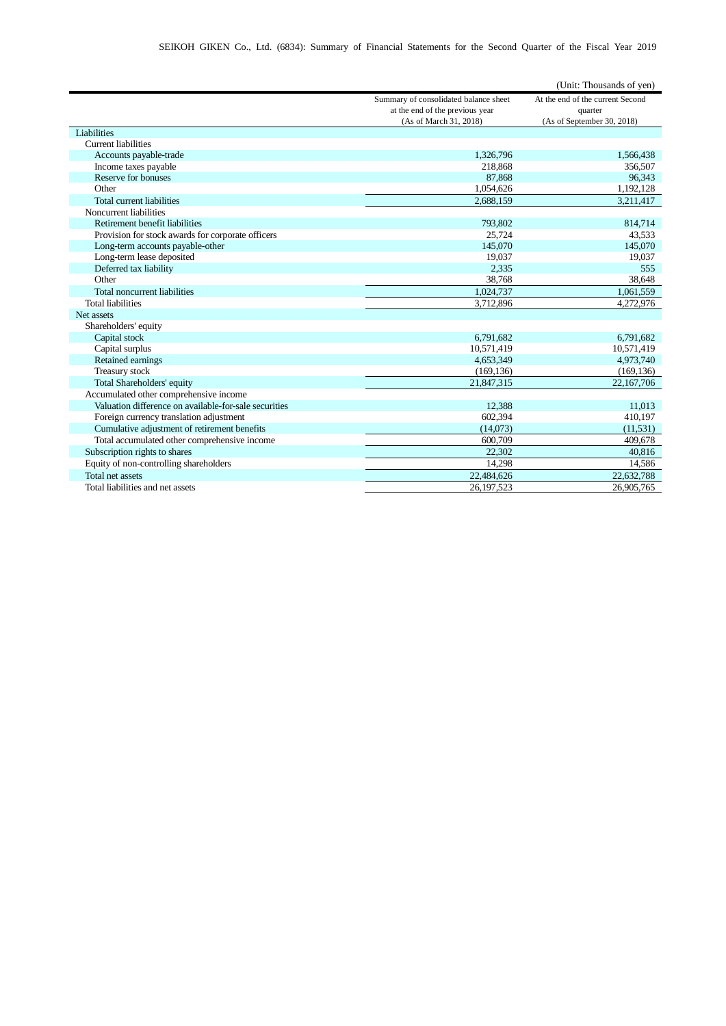|                                                       |                                       | (Unit: Thousands of yen)         |
|-------------------------------------------------------|---------------------------------------|----------------------------------|
|                                                       | Summary of consolidated balance sheet | At the end of the current Second |
|                                                       | at the end of the previous year       | quarter                          |
|                                                       | (As of March 31, 2018)                | (As of September 30, 2018)       |
| Liabilities                                           |                                       |                                  |
| <b>Current liabilities</b>                            |                                       |                                  |
| Accounts payable-trade                                | 1.326.796                             | 1,566,438                        |
| Income taxes payable                                  | 218,868                               | 356,507                          |
| Reserve for bonuses                                   | 87,868                                | 96,343                           |
| Other                                                 | 1,054,626                             | 1,192,128                        |
| <b>Total current liabilities</b>                      | 2,688,159                             | 3,211,417                        |
| Noncurrent liabilities                                |                                       |                                  |
| Retirement benefit liabilities                        | 793,802                               | 814,714                          |
| Provision for stock awards for corporate officers     | 25,724                                | 43,533                           |
| Long-term accounts payable-other                      | 145,070                               | 145,070                          |
| Long-term lease deposited                             | 19,037                                | 19,037                           |
| Deferred tax liability                                | 2,335                                 | 555                              |
| Other                                                 | 38.768                                | 38.648                           |
| Total noncurrent liabilities                          | 1,024,737                             | 1,061,559                        |
| <b>Total liabilities</b>                              | 3,712,896                             | 4,272,976                        |
| Net assets                                            |                                       |                                  |
| Shareholders' equity                                  |                                       |                                  |
| Capital stock                                         | 6,791,682                             | 6,791,682                        |
| Capital surplus                                       | 10,571,419                            | 10,571,419                       |
| Retained earnings                                     | 4,653,349                             | 4,973,740                        |
| Treasury stock                                        | (169, 136)                            | (169, 136)                       |
| Total Shareholders' equity                            | 21,847,315                            | 22,167,706                       |
| Accumulated other comprehensive income                |                                       |                                  |
| Valuation difference on available-for-sale securities | 12,388                                | 11.013                           |
| Foreign currency translation adjustment               | 602,394                               | 410,197                          |
| Cumulative adjustment of retirement benefits          | (14,073)                              | (11.531)                         |
| Total accumulated other comprehensive income          | 600,709                               | 409,678                          |
| Subscription rights to shares                         | 22,302                                | 40,816                           |
| Equity of non-controlling shareholders                | 14,298                                | 14,586                           |
| Total net assets                                      | 22,484,626                            | 22,632,788                       |
| Total liabilities and net assets                      | 26.197.523                            | 26,905,765                       |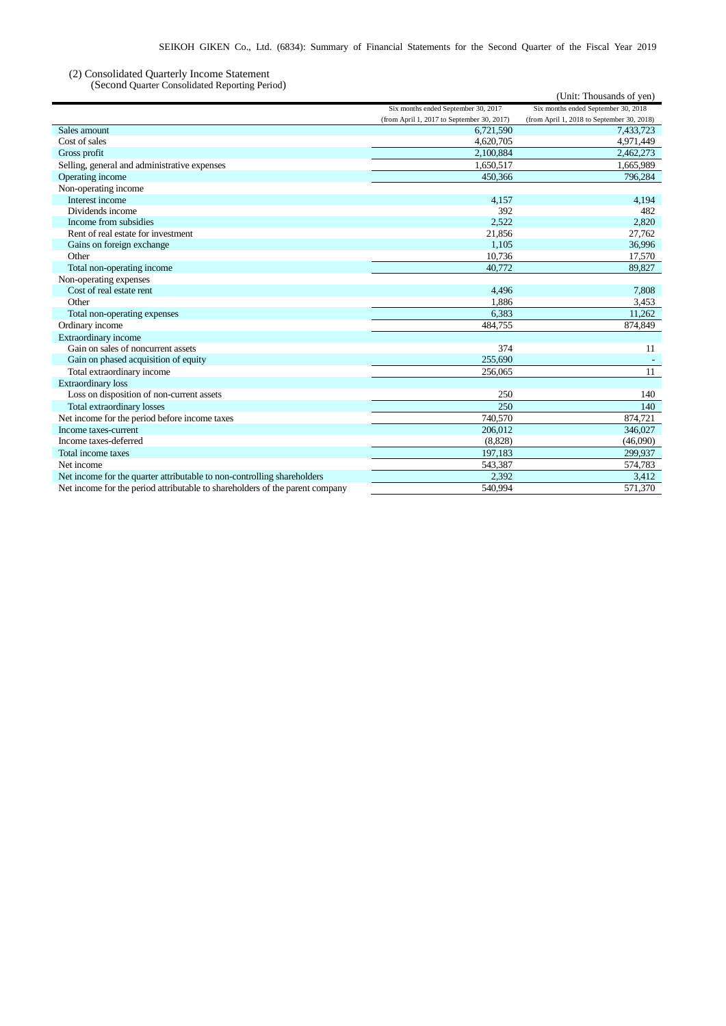## (2) Consolidated Quarterly Income Statement

(Second Quarter Consolidated Reporting Period)

| (Second Quarter Consondated Reporting Ferrou)                                |                                            | (Unit: Thousands of yen)                   |
|------------------------------------------------------------------------------|--------------------------------------------|--------------------------------------------|
|                                                                              | Six months ended September 30, 2017        | Six months ended September 30, 2018        |
|                                                                              | (from April 1, 2017 to September 30, 2017) | (from April 1, 2018 to September 30, 2018) |
| Sales amount                                                                 | 6,721,590                                  | 7,433,723                                  |
| Cost of sales                                                                | 4,620,705                                  | 4,971,449                                  |
| Gross profit                                                                 | 2,100,884                                  | 2,462,273                                  |
| Selling, general and administrative expenses                                 | 1.650.517                                  | 1,665,989                                  |
| Operating income                                                             | 450,366                                    | 796,284                                    |
| Non-operating income                                                         |                                            |                                            |
| Interest income                                                              | 4,157                                      | 4,194                                      |
| Dividends income                                                             | 392                                        | 482                                        |
| Income from subsidies                                                        | 2,522                                      | 2,820                                      |
| Rent of real estate for investment                                           | 21,856                                     | 27,762                                     |
| Gains on foreign exchange                                                    | 1,105                                      | 36,996                                     |
| Other                                                                        | 10,736                                     | 17,570                                     |
| Total non-operating income                                                   | 40,772                                     | 89,827                                     |
| Non-operating expenses                                                       |                                            |                                            |
| Cost of real estate rent                                                     | 4,496                                      | 7,808                                      |
| Other                                                                        | 1,886                                      | 3,453                                      |
| Total non-operating expenses                                                 | 6,383                                      | 11,262                                     |
| Ordinary income                                                              | 484,755                                    | 874,849                                    |
| Extraordinary income                                                         |                                            |                                            |
| Gain on sales of noncurrent assets                                           | 374                                        | 11                                         |
| Gain on phased acquisition of equity                                         | 255,690                                    |                                            |
| Total extraordinary income                                                   | 256,065                                    | 11                                         |
| <b>Extraordinary</b> loss                                                    |                                            |                                            |
| Loss on disposition of non-current assets                                    | 250                                        | 140                                        |
| <b>Total extraordinary losses</b>                                            | 250                                        | 140                                        |
| Net income for the period before income taxes                                | 740,570                                    | 874,721                                    |
| Income taxes-current                                                         | 206,012                                    | 346,027                                    |
| Income taxes-deferred                                                        | (8,828)                                    | (46,090)                                   |
| Total income taxes                                                           | 197,183                                    | 299,937                                    |
| Net income                                                                   | 543,387                                    | 574,783                                    |
| Net income for the quarter attributable to non-controlling shareholders      | 2,392                                      | 3,412                                      |
| Net income for the period attributable to shareholders of the parent company | 540.994                                    | 571,370                                    |